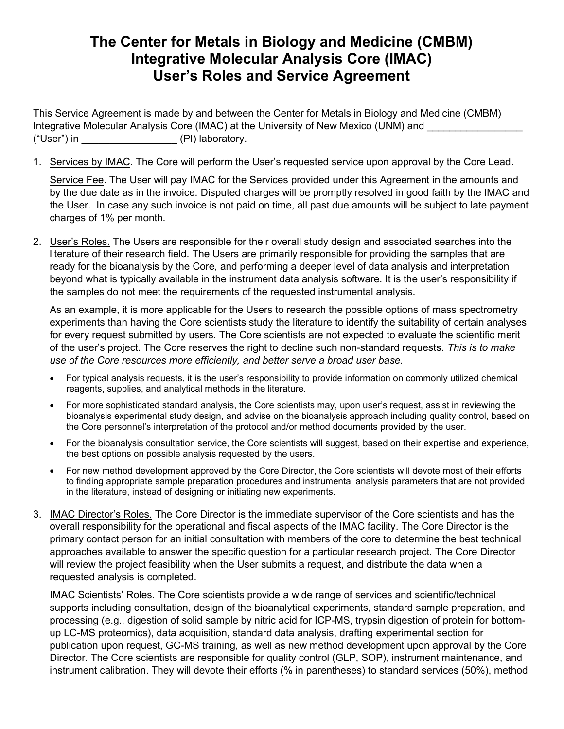## The Center for Metals in Biology and Medicine (CMBM) Integrative Molecular Analysis Core (IMAC) User's Roles and Service Agreement

This Service Agreement is made by and between the Center for Metals in Biology and Medicine (CMBM) Integrative Molecular Analysis Core (IMAC) at the University of New Mexico (UNM) and ("User") in \_\_\_\_\_\_\_\_\_\_\_\_\_\_\_\_\_ (PI) laboratory.

1. Services by IMAC. The Core will perform the User's requested service upon approval by the Core Lead.

Service Fee. The User will pay IMAC for the Services provided under this Agreement in the amounts and by the due date as in the invoice. Disputed charges will be promptly resolved in good faith by the IMAC and the User. In case any such invoice is not paid on time, all past due amounts will be subject to late payment charges of 1% per month.

2. User's Roles. The Users are responsible for their overall study design and associated searches into the literature of their research field. The Users are primarily responsible for providing the samples that are ready for the bioanalysis by the Core, and performing a deeper level of data analysis and interpretation beyond what is typically available in the instrument data analysis software. It is the user's responsibility if the samples do not meet the requirements of the requested instrumental analysis.

As an example, it is more applicable for the Users to research the possible options of mass spectrometry experiments than having the Core scientists study the literature to identify the suitability of certain analyses for every request submitted by users. The Core scientists are not expected to evaluate the scientific merit of the user's project. The Core reserves the right to decline such non-standard requests. This is to make use of the Core resources more efficiently, and better serve a broad user base.

- For typical analysis requests, it is the user's responsibility to provide information on commonly utilized chemical reagents, supplies, and analytical methods in the literature.
- For more sophisticated standard analysis, the Core scientists may, upon user's request, assist in reviewing the bioanalysis experimental study design, and advise on the bioanalysis approach including quality control, based on the Core personnel's interpretation of the protocol and/or method documents provided by the user.
- For the bioanalysis consultation service, the Core scientists will suggest, based on their expertise and experience, the best options on possible analysis requested by the users.
- For new method development approved by the Core Director, the Core scientists will devote most of their efforts to finding appropriate sample preparation procedures and instrumental analysis parameters that are not provided in the literature, instead of designing or initiating new experiments.
- 3. IMAC Director's Roles. The Core Director is the immediate supervisor of the Core scientists and has the overall responsibility for the operational and fiscal aspects of the IMAC facility. The Core Director is the primary contact person for an initial consultation with members of the core to determine the best technical approaches available to answer the specific question for a particular research project. The Core Director will review the project feasibility when the User submits a request, and distribute the data when a requested analysis is completed.

IMAC Scientists' Roles. The Core scientists provide a wide range of services and scientific/technical supports including consultation, design of the bioanalytical experiments, standard sample preparation, and processing (e.g., digestion of solid sample by nitric acid for ICP-MS, trypsin digestion of protein for bottomup LC-MS proteomics), data acquisition, standard data analysis, drafting experimental section for publication upon request, GC-MS training, as well as new method development upon approval by the Core Director. The Core scientists are responsible for quality control (GLP, SOP), instrument maintenance, and instrument calibration. They will devote their efforts (% in parentheses) to standard services (50%), method